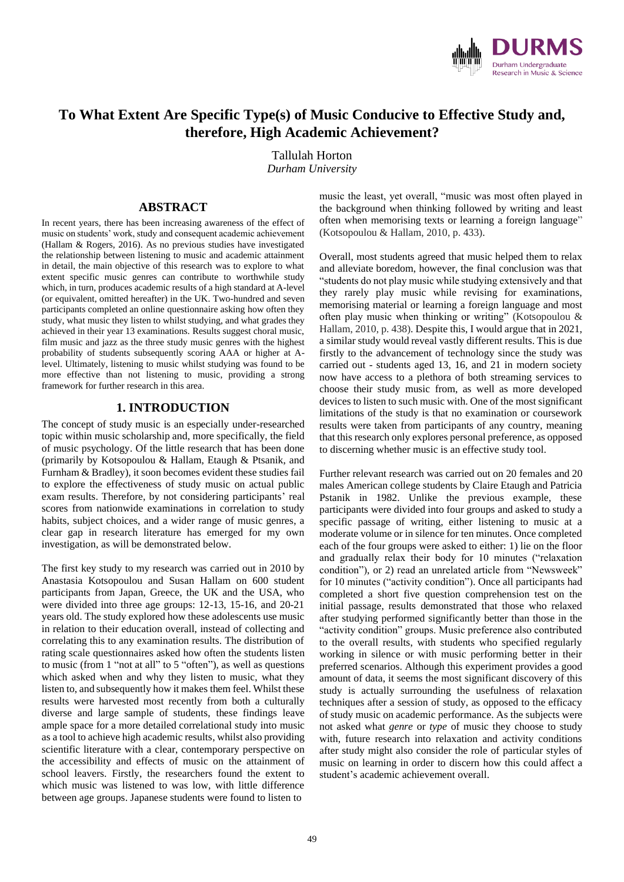

# **To What Extent Are Specific Type(s) of Music Conducive to Effective Study and, therefore, High Academic Achievement?**

Tallulah Horton

*Durham University*

## **ABSTRACT**

In recent years, there has been increasing awareness of the effect of music on students' work, study and consequent academic achievement (Hallam & Rogers, 2016). As no previous studies have investigated the relationship between listening to music and academic attainment in detail, the main objective of this research was to explore to what extent specific music genres can contribute to worthwhile study which, in turn, produces academic results of a high standard at A-level (or equivalent, omitted hereafter) in the UK. Two-hundred and seven participants completed an online questionnaire asking how often they study, what music they listen to whilst studying, and what grades they achieved in their year 13 examinations. Results suggest choral music, film music and jazz as the three study music genres with the highest probability of students subsequently scoring AAA or higher at Alevel. Ultimately, listening to music whilst studying was found to be more effective than not listening to music, providing a strong framework for further research in this area.

## **1. INTRODUCTION**

The concept of study music is an especially under-researched topic within music scholarship and, more specifically, the field of music psychology. Of the little research that has been done (primarily by Kotsopoulou & Hallam, Etaugh & Ptsanik, and Furnham & Bradley), it soon becomes evident these studies fail to explore the effectiveness of study music on actual public exam results. Therefore, by not considering participants' real scores from nationwide examinations in correlation to study habits, subject choices, and a wider range of music genres, a clear gap in research literature has emerged for my own investigation, as will be demonstrated below.

The first key study to my research was carried out in 2010 by Anastasia Kotsopoulou and Susan Hallam on 600 student participants from Japan, Greece, the UK and the USA, who were divided into three age groups: 12-13, 15-16, and 20-21 years old. The study explored how these adolescents use music in relation to their education overall, instead of collecting and correlating this to any examination results. The distribution of rating scale questionnaires asked how often the students listen to music (from 1 "not at all" to 5 "often"), as well as questions which asked when and why they listen to music, what they listen to, and subsequently how it makes them feel. Whilst these results were harvested most recently from both a culturally diverse and large sample of students, these findings leave ample space for a more detailed correlational study into music as a tool to achieve high academic results, whilst also providing scientific literature with a clear, contemporary perspective on the accessibility and effects of music on the attainment of school leavers. Firstly, the researchers found the extent to which music was listened to was low, with little difference between age groups. Japanese students were found to listen to

music the least, yet overall, "music was most often played in the background when thinking followed by writing and least often when memorising texts or learning a foreign language" (Kotsopoulou & Hallam, 2010, p. 433).

Overall, most students agreed that music helped them to relax and alleviate boredom, however, the final conclusion was that "students do not play music while studying extensively and that they rarely play music while revising for examinations, memorising material or learning a foreign language and most often play music when thinking or writing" (Kotsopoulou & Hallam, 2010, p. 438). Despite this, I would argue that in 2021, a similar study would reveal vastly different results. This is due firstly to the advancement of technology since the study was carried out - students aged 13, 16, and 21 in modern society now have access to a plethora of both streaming services to choose their study music from, as well as more developed devices to listen to such music with. One of the most significant limitations of the study is that no examination or coursework results were taken from participants of any country, meaning that this research only explores personal preference, as opposed to discerning whether music is an effective study tool.

Further relevant research was carried out on 20 females and 20 males American college students by Claire Etaugh and Patricia Pstanik in 1982. Unlike the previous example, these participants were divided into four groups and asked to study a specific passage of writing, either listening to music at a moderate volume or in silence for ten minutes. Once completed each of the four groups were asked to either: 1) lie on the floor and gradually relax their body for 10 minutes ("relaxation condition"), or 2) read an unrelated article from "Newsweek" for 10 minutes ("activity condition"). Once all participants had completed a short five question comprehension test on the initial passage, results demonstrated that those who relaxed after studying performed significantly better than those in the "activity condition" groups. Music preference also contributed to the overall results, with students who specified regularly working in silence or with music performing better in their preferred scenarios. Although this experiment provides a good amount of data, it seems the most significant discovery of this study is actually surrounding the usefulness of relaxation techniques after a session of study, as opposed to the efficacy of study music on academic performance. As the subjects were not asked what *genre* or *type* of music they choose to study with, future research into relaxation and activity conditions after study might also consider the role of particular styles of music on learning in order to discern how this could affect a student's academic achievement overall.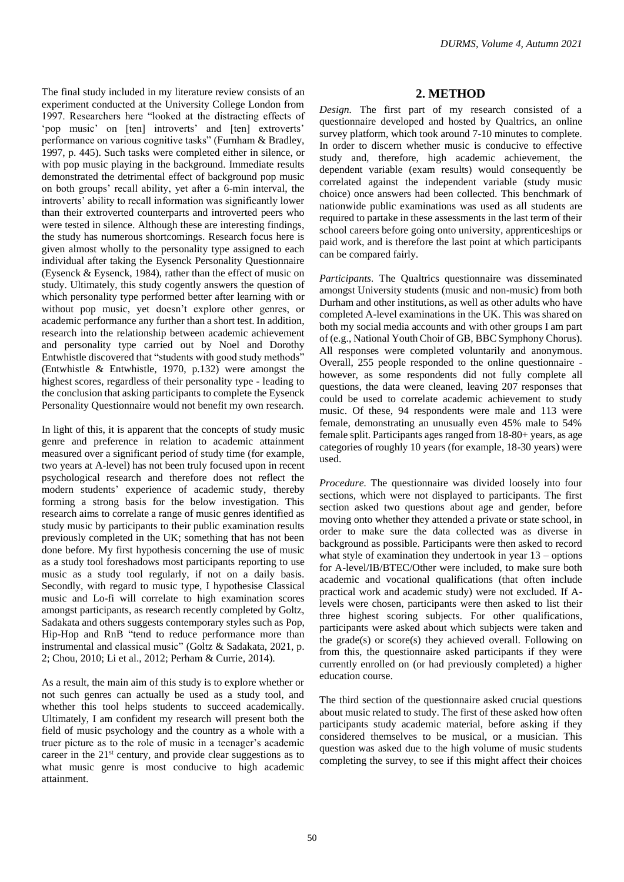*DURMS, Volume 4, Autumn 2021*

The final study included in my literature review consists of an experiment conducted at the University College London from 1997. Researchers here "looked at the distracting effects of 'pop music' on [ten] introverts' and [ten] extroverts' performance on various cognitive tasks" (Furnham & Bradley, 1997, p. 445). Such tasks were completed either in silence, or with pop music playing in the background. Immediate results demonstrated the detrimental effect of background pop music on both groups' recall ability, yet after a 6-min interval, the introverts' ability to recall information was significantly lower than their extroverted counterparts and introverted peers who were tested in silence. Although these are interesting findings, the study has numerous shortcomings. Research focus here is given almost wholly to the personality type assigned to each individual after taking the Eysenck Personality Questionnaire (Eysenck & Eysenck, 1984), rather than the effect of music on study. Ultimately, this study cogently answers the question of which personality type performed better after learning with or without pop music, yet doesn't explore other genres, or academic performance any further than a short test. In addition, research into the relationship between academic achievement and personality type carried out by Noel and Dorothy Entwhistle discovered that "students with good study methods" (Entwhistle & Entwhistle, 1970, p.132) were amongst the highest scores, regardless of their personality type - leading to the conclusion that asking participants to complete the Eysenck Personality Questionnaire would not benefit my own research.

In light of this, it is apparent that the concepts of study music genre and preference in relation to academic attainment measured over a significant period of study time (for example, two years at A-level) has not been truly focused upon in recent psychological research and therefore does not reflect the modern students' experience of academic study, thereby forming a strong basis for the below investigation. This research aims to correlate a range of music genres identified as study music by participants to their public examination results previously completed in the UK; something that has not been done before. My first hypothesis concerning the use of music as a study tool foreshadows most participants reporting to use music as a study tool regularly, if not on a daily basis. Secondly, with regard to music type, I hypothesise Classical music and Lo-fi will correlate to high examination scores amongst participants, as research recently completed by Goltz, Sadakata and others suggests contemporary styles such as Pop, Hip-Hop and RnB "tend to reduce performance more than instrumental and classical music" (Goltz & Sadakata, 2021, p. 2; Chou, 2010; Li et al., 2012; Perham & Currie, 2014).

As a result, the main aim of this study is to explore whether or not such genres can actually be used as a study tool, and whether this tool helps students to succeed academically. Ultimately, I am confident my research will present both the field of music psychology and the country as a whole with a truer picture as to the role of music in a teenager's academic career in the  $21<sup>st</sup>$  century, and provide clear suggestions as to what music genre is most conducive to high academic attainment.

## **2. METHOD**

*Design.* The first part of my research consisted of a questionnaire developed and hosted by Qualtrics, an online survey platform, which took around 7-10 minutes to complete. In order to discern whether music is conducive to effective study and, therefore, high academic achievement, the dependent variable (exam results) would consequently be correlated against the independent variable (study music choice) once answers had been collected. This benchmark of nationwide public examinations was used as all students are required to partake in these assessments in the last term of their school careers before going onto university, apprenticeships or paid work, and is therefore the last point at which participants can be compared fairly.

*Participants.* The Qualtrics questionnaire was disseminated amongst University students (music and non-music) from both Durham and other institutions, as well as other adults who have completed A-level examinations in the UK. This was shared on both my social media accounts and with other groups I am part of (e.g., National Youth Choir of GB, BBC Symphony Chorus). All responses were completed voluntarily and anonymous. Overall, 255 people responded to the online questionnaire however, as some respondents did not fully complete all questions, the data were cleaned, leaving 207 responses that could be used to correlate academic achievement to study music. Of these, 94 respondents were male and 113 were female, demonstrating an unusually even 45% male to 54% female split. Participants ages ranged from 18-80+ years, as age categories of roughly 10 years (for example, 18-30 years) were used.

*Procedure.* The questionnaire was divided loosely into four sections, which were not displayed to participants. The first section asked two questions about age and gender, before moving onto whether they attended a private or state school, in order to make sure the data collected was as diverse in background as possible. Participants were then asked to record what style of examination they undertook in year 13 – options for A-level/IB/BTEC/Other were included, to make sure both academic and vocational qualifications (that often include practical work and academic study) were not excluded. If Alevels were chosen, participants were then asked to list their three highest scoring subjects. For other qualifications, participants were asked about which subjects were taken and the grade(s) or score(s) they achieved overall. Following on from this, the questionnaire asked participants if they were currently enrolled on (or had previously completed) a higher education course.

The third section of the questionnaire asked crucial questions about music related to study. The first of these asked how often participants study academic material, before asking if they considered themselves to be musical, or a musician. This question was asked due to the high volume of music students completing the survey, to see if this might affect their choices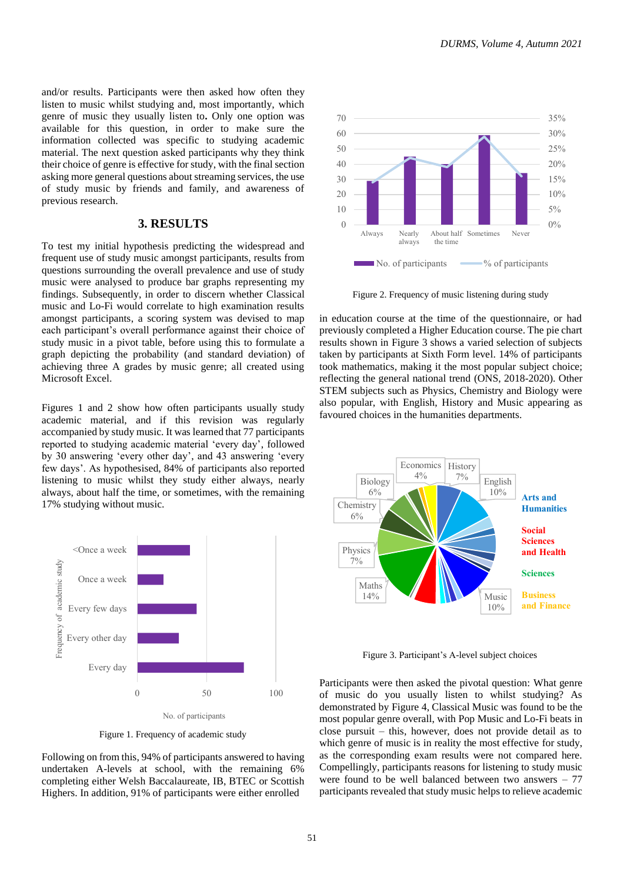and/or results. Participants were then asked how often they listen to music whilst studying and, most importantly, which genre of music they usually listen to**.** Only one option was available for this question, in order to make sure the information collected was specific to studying academic material. The next question asked participants why they think their choice of genre is effective for study, with the final section asking more general questions about streaming services, the use of study music by friends and family, and awareness of previous research.

### **3. RESULTS**

To test my initial hypothesis predicting the widespread and frequent use of study music amongst participants, results from questions surrounding the overall prevalence and use of study music were analysed to produce bar graphs representing my findings. Subsequently, in order to discern whether Classical music and Lo-Fi would correlate to high examination results amongst participants, a scoring system was devised to map each participant's overall performance against their choice of study music in a pivot table, before using this to formulate a graph depicting the probability (and standard deviation) of achieving three A grades by music genre; all created using Microsoft Excel.

Figures 1 and 2 show how often participants usually study academic material, and if this revision was regularly accompanied by study music. It was learned that 77 participants reported to studying academic material 'every day', followed by 30 answering 'every other day', and 43 answering 'every few days'. As hypothesised, 84% of participants also reported listening to music whilst they study either always, nearly always, about half the time, or sometimes, with the remaining 17% studying without music.



Figure 1. Frequency of academic study

Following on from this, 94% of participants answered to having undertaken A-levels at school, with the remaining 6% completing either Welsh Baccalaureate, IB, BTEC or Scottish Highers. In addition, 91% of participants were either enrolled



Figure 2. Frequency of music listening during study

in education course at the time of the questionnaire, or had previously completed a Higher Education course. The pie chart results shown in Figure 3 shows a varied selection of subjects taken by participants at Sixth Form level. 14% of participants took mathematics, making it the most popular subject choice; reflecting the general national trend (ONS, 2018-2020). Other STEM subjects such as Physics, Chemistry and Biology were also popular, with English, History and Music appearing as favoured choices in the humanities departments.



Figure 3. Participant's A-level subject choices

Participants were then asked the pivotal question: What genre of music do you usually listen to whilst studying? As demonstrated by Figure 4, Classical Music was found to be the most popular genre overall, with Pop Music and Lo-Fi beats in close pursuit – this, however, does not provide detail as to which genre of music is in reality the most effective for study, as the corresponding exam results were not compared here. Compellingly, participants reasons for listening to study music were found to be well balanced between two answers – 77 participants revealed that study music helps to relieve academic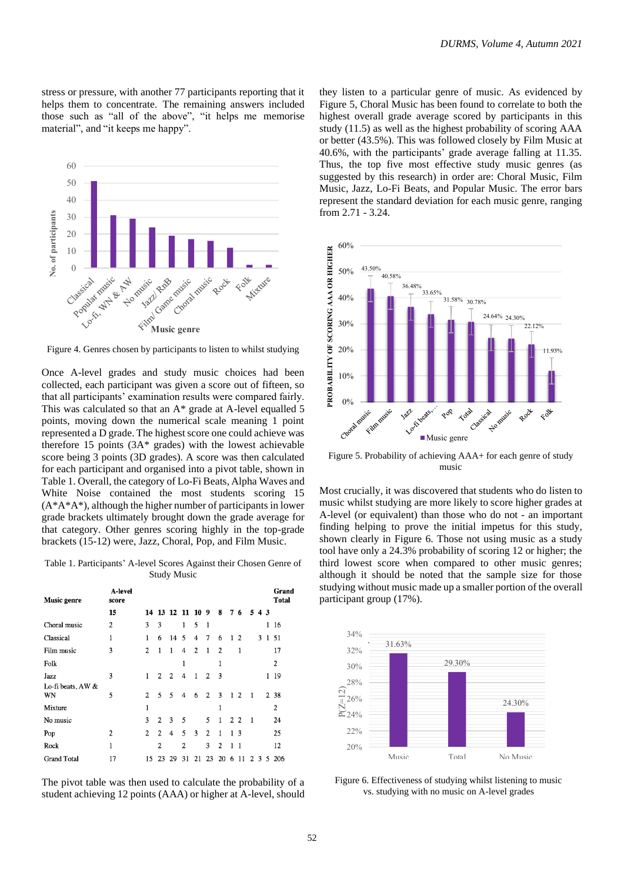stress or pressure, with another 77 participants reporting that it helps them to concentrate. The remaining answers included those such as "all of the above", "it helps me memorise material", and "it keeps me happy".



Figure 4. Genres chosen by participants to listen to whilst studying

Once A-level grades and study music choices had been collected, each participant was given a score out of fifteen, so that all participants' examination results were compared fairly. This was calculated so that an A\* grade at A-level equalled 5 points, moving down the numerical scale meaning 1 point represented a D grade. The highest score one could achieve was therefore 15 points (3A\* grades) with the lowest achievable score being 3 points (3D grades). A score was then calculated for each participant and organised into a pivot table, shown in Table 1. Overall, the category of Lo-Fi Beats, Alpha Waves and White Noise contained the most students scoring 15 (A\*A\*A\*), although the higher number of participants in lower grade brackets ultimately brought down the grade average for that category. Other genres scoring highly in the top-grade brackets (15-12) were, Jazz, Choral, Pop, and Film Music.

Table 1. Participants' A-level Scores Against their Chosen Genre of Study Music

| Music genre             | A-level<br>score |                |    |    |                  |                |    |                |                |                |                |     |   | Grand<br><b>Total</b> |
|-------------------------|------------------|----------------|----|----|------------------|----------------|----|----------------|----------------|----------------|----------------|-----|---|-----------------------|
|                         | 15               |                |    |    | 14 13 12 11 10 9 |                |    | 8              | 7              | 6              |                | 543 |   |                       |
| Choral music            | 2                | 3              | 3  |    | 1                | 5              | 1  |                |                |                |                |     | 1 | 16                    |
| Classical               |                  | 1              | 6  | 14 | 5                | 4              | 7  | 6              | 1              | 2              |                | 3   | 1 | 51                    |
| Film music              | 3                | 2              | 1  | 1  | 4                | $\overline{2}$ | -1 | $\overline{2}$ |                | 1              |                |     |   | 17                    |
| Folk                    |                  |                |    |    |                  |                |    | 1              |                |                |                |     |   | 2                     |
| Jazz                    | 3                | 1              | 2  | 2  | 4                | 1              | 2  | 3              |                |                |                |     | 1 | 19                    |
| Lo-fi beats, AW &<br>WN | 5                | $\overline{2}$ | 5  | 5  | 4                | 6              | 2  | 3              | 1              | $\overline{2}$ | $\mathbf{1}$   |     |   | 2 38                  |
| Mixture                 |                  | 1              |    |    |                  |                |    | 1              |                |                |                |     |   | 2                     |
| No music                |                  | 3              | 2  | 3  | 5                |                | 5  | 1              | 2 <sub>2</sub> |                | $\overline{1}$ |     |   | 24                    |
| Pop                     | 2                | 2              | 2  | 4  | 5                | 3              | 2  | 1              | 1              | 3              |                |     |   | 25                    |
| Rock                    | 1                |                | 2  |    | 2                |                | 3  | 2              | 1              | 1              |                |     |   | 12                    |
| <b>Grand Total</b>      | 17               | 15             | 23 | 29 | 31               | 21             | 23 | 20             | 6              | 11             | 7              | 3   | 5 | 206                   |

The pivot table was then used to calculate the probability of a student achieving 12 points (AAA) or higher at A-level, should

they listen to a particular genre of music. As evidenced by Figure 5, Choral Music has been found to correlate to both the highest overall grade average scored by participants in this study (11.5) as well as the highest probability of scoring AAA or better (43.5%). This was followed closely by Film Music at 40.6%, with the participants' grade average falling at 11.35. Thus, the top five most effective study music genres (as suggested by this research) in order are: Choral Music, Film Music, Jazz, Lo-Fi Beats, and Popular Music. The error bars represent the standard deviation for each music genre, ranging from 2.71 - 3.24.



Figure 5. Probability of achieving AAA+ for each genre of study music

Most crucially, it was discovered that students who do listen to music whilst studying are more likely to score higher grades at A-level (or equivalent) than those who do not - an important finding helping to prove the initial impetus for this study, shown clearly in Figure 6. Those not using music as a study tool have only a 24.3% probability of scoring 12 or higher; the third lowest score when compared to other music genres; although it should be noted that the sample size for those studying without music made up a smaller portion of the overall participant group (17%).



Figure 6. Effectiveness of studying whilst listening to music vs. studying with no music on A-level grades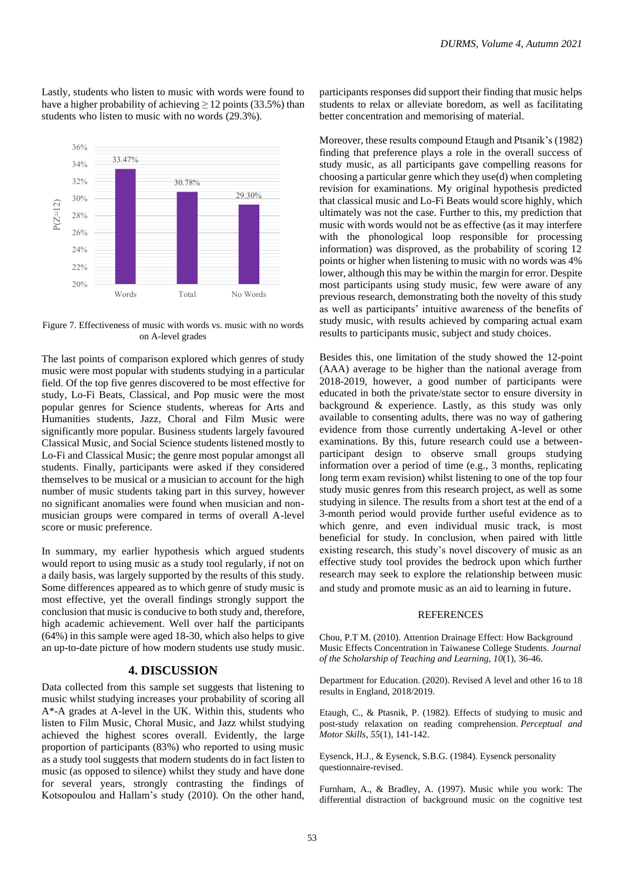Lastly, students who listen to music with words were found to have a higher probability of achieving  $\geq$  12 points (33.5%) than students who listen to music with no words (29.3%).



Figure 7. Effectiveness of music with words vs. music with no words on A-level grades

The last points of comparison explored which genres of study music were most popular with students studying in a particular field. Of the top five genres discovered to be most effective for study, Lo-Fi Beats, Classical, and Pop music were the most popular genres for Science students, whereas for Arts and Humanities students, Jazz, Choral and Film Music were significantly more popular. Business students largely favoured Classical Music, and Social Science students listened mostly to Lo-Fi and Classical Music; the genre most popular amongst all students. Finally, participants were asked if they considered themselves to be musical or a musician to account for the high number of music students taking part in this survey, however no significant anomalies were found when musician and nonmusician groups were compared in terms of overall A-level score or music preference.

In summary, my earlier hypothesis which argued students would report to using music as a study tool regularly, if not on a daily basis, was largely supported by the results of this study. Some differences appeared as to which genre of study music is most effective, yet the overall findings strongly support the conclusion that music is conducive to both study and, therefore, high academic achievement. Well over half the participants (64%) in this sample were aged 18-30, which also helps to give an up-to-date picture of how modern students use study music.

## **4. DISCUSSION**

Data collected from this sample set suggests that listening to music whilst studying increases your probability of scoring all A\*-A grades at A-level in the UK. Within this, students who listen to Film Music, Choral Music, and Jazz whilst studying achieved the highest scores overall. Evidently, the large proportion of participants (83%) who reported to using music as a study tool suggests that modern students do in fact listen to music (as opposed to silence) whilst they study and have done for several years, strongly contrasting the findings of Kotsopoulou and Hallam's study (2010). On the other hand, participants responses did support their finding that music helps students to relax or alleviate boredom, as well as facilitating better concentration and memorising of material.

Moreover, these results compound Etaugh and Ptsanik's (1982) finding that preference plays a role in the overall success of study music, as all participants gave compelling reasons for choosing a particular genre which they use(d) when completing revision for examinations. My original hypothesis predicted that classical music and Lo-Fi Beats would score highly, which ultimately was not the case. Further to this, my prediction that music with words would not be as effective (as it may interfere with the phonological loop responsible for processing information) was disproved, as the probability of scoring 12 points or higher when listening to music with no words was 4% lower, although this may be within the margin for error. Despite most participants using study music, few were aware of any previous research, demonstrating both the novelty of this study as well as participants' intuitive awareness of the benefits of study music, with results achieved by comparing actual exam results to participants music, subject and study choices.

Besides this, one limitation of the study showed the 12-point (AAA) average to be higher than the national average from 2018-2019, however, a good number of participants were educated in both the private/state sector to ensure diversity in background & experience. Lastly, as this study was only available to consenting adults, there was no way of gathering evidence from those currently undertaking A-level or other examinations. By this, future research could use a betweenparticipant design to observe small groups studying information over a period of time (e.g., 3 months, replicating long term exam revision) whilst listening to one of the top four study music genres from this research project, as well as some studying in silence. The results from a short test at the end of a 3-month period would provide further useful evidence as to which genre, and even individual music track, is most beneficial for study. In conclusion, when paired with little existing research, this study's novel discovery of music as an effective study tool provides the bedrock upon which further research may seek to explore the relationship between music and study and promote music as an aid to learning in future.

#### **REFERENCES**

Chou, P.T M. (2010). Attention Drainage Effect: How Background Music Effects Concentration in Taiwanese College Students. *Journal of the Scholarship of Teaching and Learning*, *10*(1), 36-46.

Department for Education. (2020). Revised A level and other 16 to 18 results in England, 2018/2019.

Etaugh, C., & Ptasnik, P. (1982). Effects of studying to music and post-study relaxation on reading comprehension. *Perceptual and Motor Skills*, *55*(1), 141-142.

Eysenck, H.J., & Eysenck, S.B.G. (1984). Eysenck personality questionnaire-revised.

Furnham, A., & Bradley, A. (1997). Music while you work: The differential distraction of background music on the cognitive test